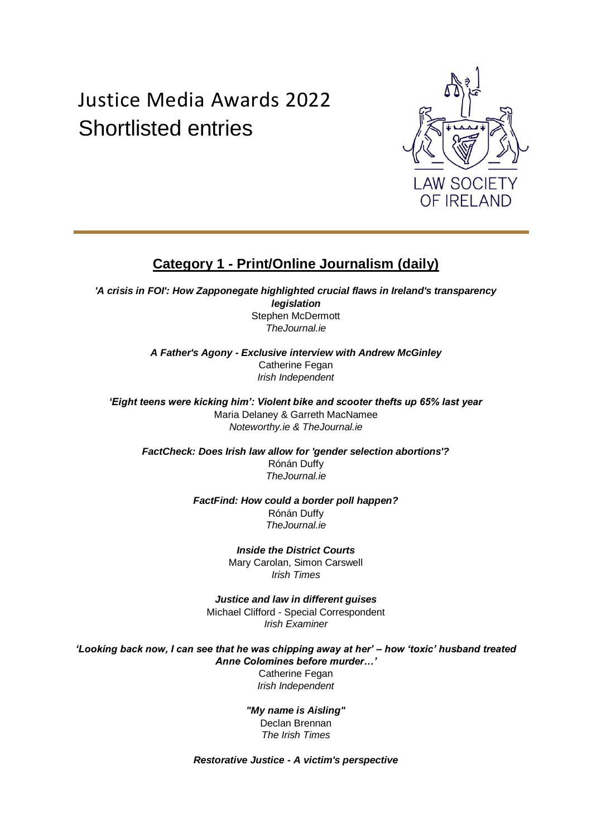# Justice Media Awards 2022 Shortlisted entries



# **Category 1 - Print/Online Journalism (daily)**

*'A crisis in FOI': How Zapponegate highlighted crucial flaws in Ireland's transparency legislation* Stephen McDermott *TheJournal.ie*

> *A Father's Agony - Exclusive interview with Andrew McGinley* Catherine Fegan *Irish Independent*

*'Eight teens were kicking him': Violent bike and scooter thefts up 65% last year* Maria Delaney & Garreth MacNamee *Noteworthy.ie & TheJournal.ie*

*FactCheck: Does Irish law allow for 'gender selection abortions'?* Rónán Duffy *TheJournal.ie*

> *FactFind: How could a border poll happen?* Rónán Duffy *TheJournal.ie*

> > *Inside the District Courts* Mary Carolan, Simon Carswell *Irish Times*

*Justice and law in different guises* Michael Clifford - Special Correspondent *Irish Examiner*

*'Looking back now, I can see that he was chipping away at her' – how 'toxic' husband treated Anne Colomines before murder…'* Catherine Fegan *Irish Independent*

> *"My name is Aisling"* Declan Brennan *The Irish Times*

*Restorative Justice - A victim's perspective*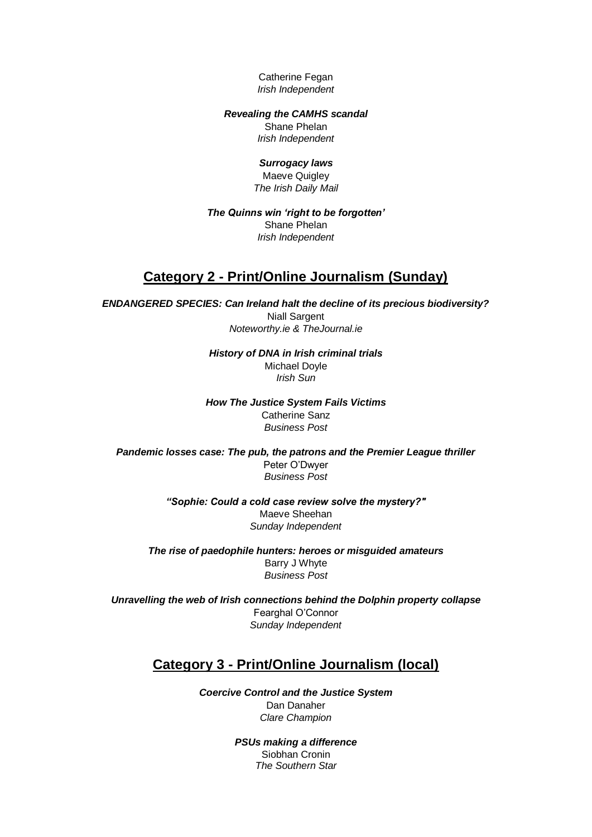Catherine Fegan *Irish Independent*

#### *Revealing the CAMHS scandal*

Shane Phelan *Irish Independent*

### *Surrogacy laws*

Maeve Quigley *The Irish Daily Mail*

### *The Quinns win 'right to be forgotten'*  Shane Phelan *Irish Independent*

### **Category 2 - Print/Online Journalism (Sunday)**

*ENDANGERED SPECIES: Can Ireland halt the decline of its precious biodiversity?* Niall Sargent *Noteworthy.ie & TheJournal.ie*

> *History of DNA in Irish criminal trials* Michael Doyle *Irish Sun*

*How The Justice System Fails Victims* Catherine Sanz *Business Post*

*Pandemic losses case: The pub, the patrons and the Premier League thriller* Peter O'Dwyer *Business Post* 

> *"Sophie: Could a cold case review solve the mystery?"*  Maeve Sheehan *Sunday Independent*

*The rise of paedophile hunters: heroes or misguided amateurs* Barry J Whyte *Business Post*

*Unravelling the web of Irish connections behind the Dolphin property collapse* Fearghal O'Connor *Sunday Independent*

### **Category 3 - Print/Online Journalism (local)**

*Coercive Control and the Justice System*  Dan Danaher *Clare Champion*

> *PSUs making a difference* Siobhan Cronin

*The Southern Star*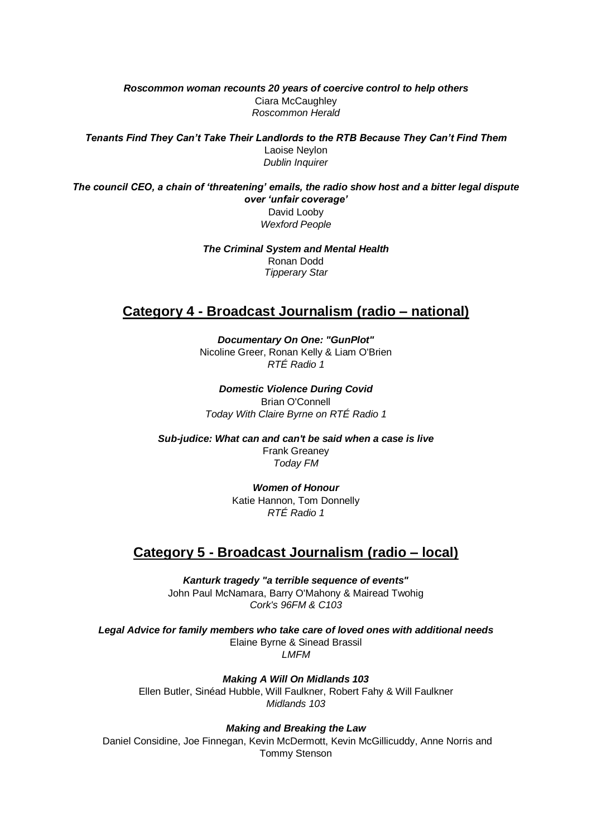*Roscommon woman recounts 20 years of coercive control to help others* Ciara McCaughley *Roscommon Herald*

*Tenants Find They Can't Take Their Landlords to the RTB Because They Can't Find Them* Laoise Neylon *Dublin Inquirer*

*The council CEO, a chain of 'threatening' emails, the radio show host and a bitter legal dispute over 'unfair coverage'* David Looby *Wexford People*

> *The Criminal System and Mental Health* Ronan Dodd *Tipperary Star*

### **Category 4 - Broadcast Journalism (radio – national)**

*Documentary On One: "GunPlot"* Nicoline Greer, Ronan Kelly & Liam O'Brien *RTÉ Radio 1*

*Domestic Violence During Covid* Brian O'Connell *Today With Claire Byrne on RTÉ Radio 1*

*Sub-judice: What can and can't be said when a case is live* Frank Greaney *Today FM*

> *Women of Honour* Katie Hannon, Tom Donnelly *RTÉ Radio 1*

### **Category 5 - Broadcast Journalism (radio – local)**

*Kanturk tragedy "a terrible sequence of events"* John Paul McNamara, Barry O'Mahony & Mairead Twohig *Cork's 96FM & C103*

*Legal Advice for family members who take care of loved ones with additional needs* Elaine Byrne & Sinead Brassil *LMFM*

*Making A Will On Midlands 103* Ellen Butler, Sinéad Hubble, Will Faulkner, Robert Fahy & Will Faulkner *Midlands 103*

*Making and Breaking the Law*

Daniel Considine, Joe Finnegan, Kevin McDermott, Kevin McGillicuddy, Anne Norris and Tommy Stenson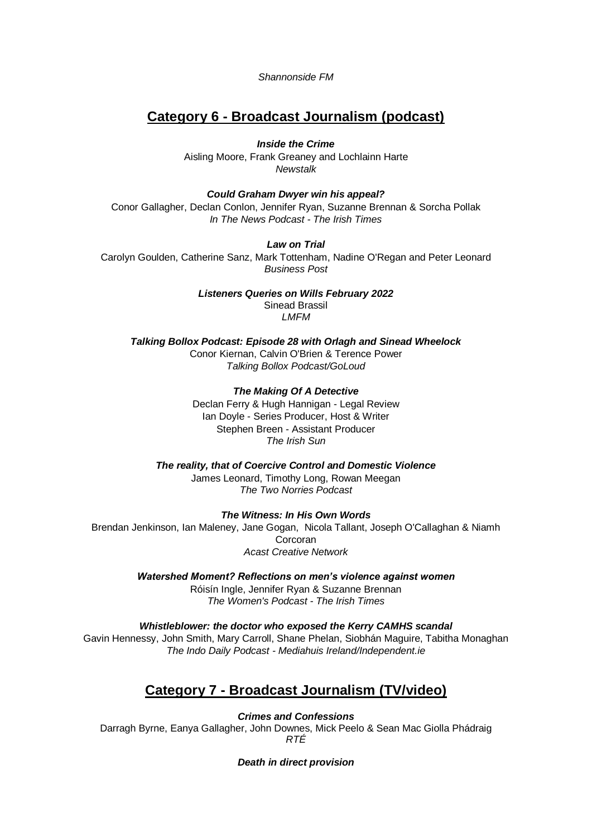*Shannonside FM*

### **Category 6 - Broadcast Journalism (podcast)**

*Inside the Crime*  Aisling Moore, Frank Greaney and Lochlainn Harte *Newstalk*

*Could Graham Dwyer win his appeal?* Conor Gallagher, Declan Conlon, Jennifer Ryan, Suzanne Brennan & Sorcha Pollak *In The News Podcast - The Irish Times* 

### *Law on Trial*

Carolyn Goulden, Catherine Sanz, Mark Tottenham, Nadine O'Regan and Peter Leonard *Business Post*

> *Listeners Queries on Wills February 2022* Sinead Brassil *LMFM*

*Talking Bollox Podcast: Episode 28 with Orlagh and Sinead Wheelock* Conor Kiernan, Calvin O'Brien & Terence Power *Talking Bollox Podcast/GoLoud*

> *The Making Of A Detective* Declan Ferry & Hugh Hannigan - Legal Review Ian Doyle - Series Producer, Host & Writer Stephen Breen - Assistant Producer *The Irish Sun*

*The reality, that of Coercive Control and Domestic Violence* James Leonard, Timothy Long, Rowan Meegan *The Two Norries Podcast*

*The Witness: In His Own Words*

Brendan Jenkinson, Ian Maleney, Jane Gogan, Nicola Tallant, Joseph O'Callaghan & Niamh Corcoran *Acast Creative Network*

> *Watershed Moment? Reflections on men's violence against women* Róisín Ingle, Jennifer Ryan & Suzanne Brennan *The Women's Podcast - The Irish Times*

*Whistleblower: the doctor who exposed the Kerry CAMHS scandal* Gavin Hennessy, John Smith, Mary Carroll, Shane Phelan, Siobhán Maguire, Tabitha Monaghan *The Indo Daily Podcast - Mediahuis Ireland/Independent.ie*

### **Category 7 - Broadcast Journalism (TV/video)**

*Crimes and Confessions* Darragh Byrne, Eanya Gallagher, John Downes, Mick Peelo & Sean Mac Giolla Phádraig *RTÉ*

*Death in direct provision*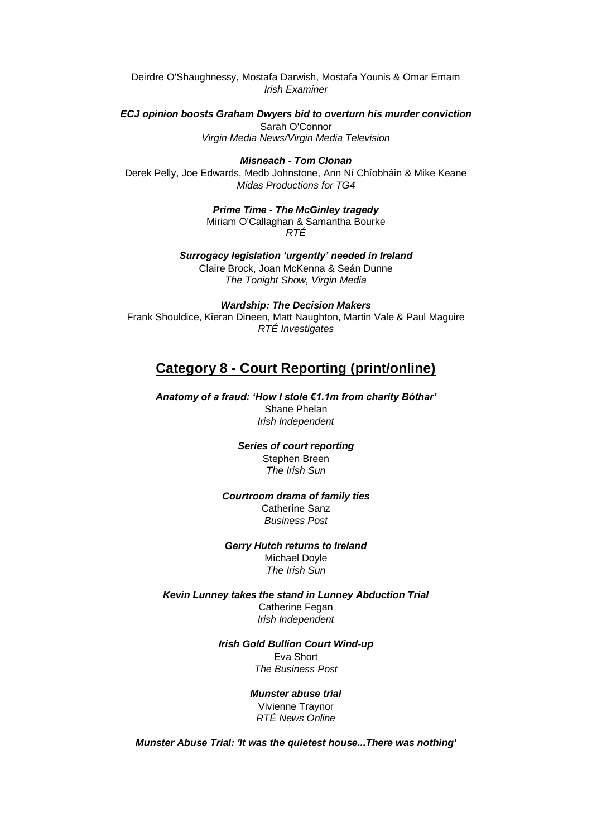Deirdre O'Shaughnessy, Mostafa Darwish, Mostafa Younis & Omar Emam *Irish Examiner*

*ECJ opinion boosts Graham Dwyers bid to overturn his murder conviction* Sarah O'Connor

*Virgin Media News/Virgin Media Television*

### *Misneach - Tom Clonan*

Derek Pelly, Joe Edwards, Medb Johnstone, Ann Ní Chíobháin & Mike Keane *Midas Productions for TG4*

> *Prime Time - The McGinley tragedy*  Miriam O'Callaghan & Samantha Bourke *RTÉ*

*Surrogacy legislation 'urgently' needed in Ireland* Claire Brock, Joan McKenna & Seán Dunne *The Tonight Show, Virgin Media*

*Wardship: The Decision Makers* Frank Shouldice, Kieran Dineen, Matt Naughton, Martin Vale & Paul Maguire *RTÉ Investigates*

### **Category 8 - Court Reporting (print/online)**

*Anatomy of a fraud: 'How I stole €1.1m from charity Bóthar'* Shane Phelan *Irish Independent*

> *Series of court reporting* Stephen Breen *The Irish Sun*

*Courtroom drama of family ties* Catherine Sanz *Business Post*

*Gerry Hutch returns to Ireland* Michael Doyle *The Irish Sun*

*Kevin Lunney takes the stand in Lunney Abduction Trial* Catherine Fegan *Irish Independent*

> *Irish Gold Bullion Court Wind-up* Eva Short *The Business Post*

> > *Munster abuse trial*  Vivienne Traynor *RTÉ News Online*

*Munster Abuse Trial: 'It was the quietest house...There was nothing'*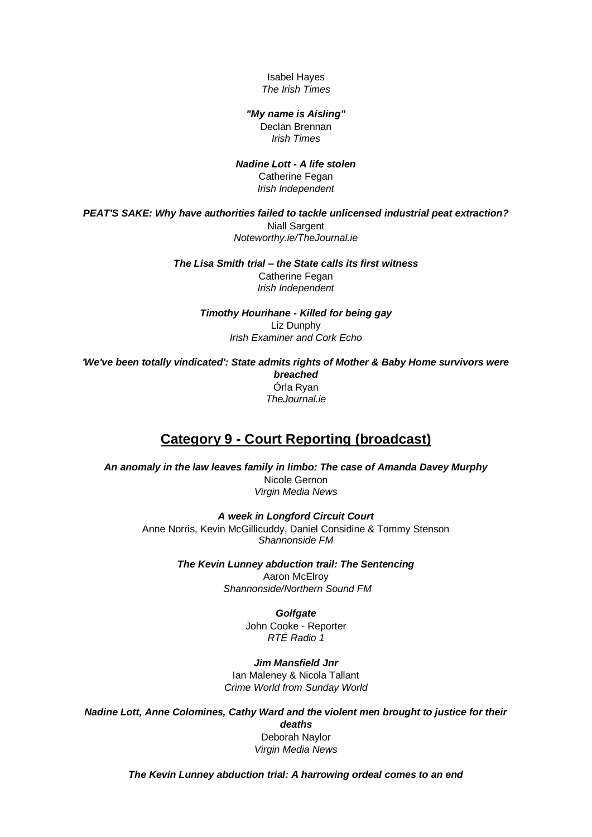Isabel Hayes *The Irish Times*

### *"My name is Aisling"*

Declan Brennan *Irish Times*

#### *Nadine Lott - A life stolen*  Catherine Fegan

*Irish Independent*

*PEAT'S SAKE: Why have authorities failed to tackle unlicensed industrial peat extraction?* **Niall Sargent** *Noteworthy.ie/TheJournal.ie*

> *The Lisa Smith trial – the State calls its first witness* Catherine Fegan *Irish Independent*

> > *Timothy Hourihane - Killed for being gay* Liz Dunphy *Irish Examiner and Cork Echo*

*'We've been totally vindicated': State admits rights of Mother & Baby Home survivors were breached* Órla Ryan *TheJournal.ie*

# **Category 9 - Court Reporting (broadcast)**

*An anomaly in the law leaves family in limbo: The case of Amanda Davey Murphy*  Nicole Gernon *Virgin Media News*

*A week in Longford Circuit Court*  Anne Norris, Kevin McGillicuddy, Daniel Considine & Tommy Stenson *Shannonside FM*

> *The Kevin Lunney abduction trail: The Sentencing*  Aaron McElroy *Shannonside/Northern Sound FM*

> > *Golfgate*

John Cooke - Reporter *RTÉ Radio 1*

*Jim Mansfield Jnr* Ian Maleney & Nicola Tallant *Crime World from Sunday World*

*Nadine Lott, Anne Colomines, Cathy Ward and the violent men brought to justice for their deaths* Deborah Naylor *Virgin Media News*

*The Kevin Lunney abduction trial: A harrowing ordeal comes to an end*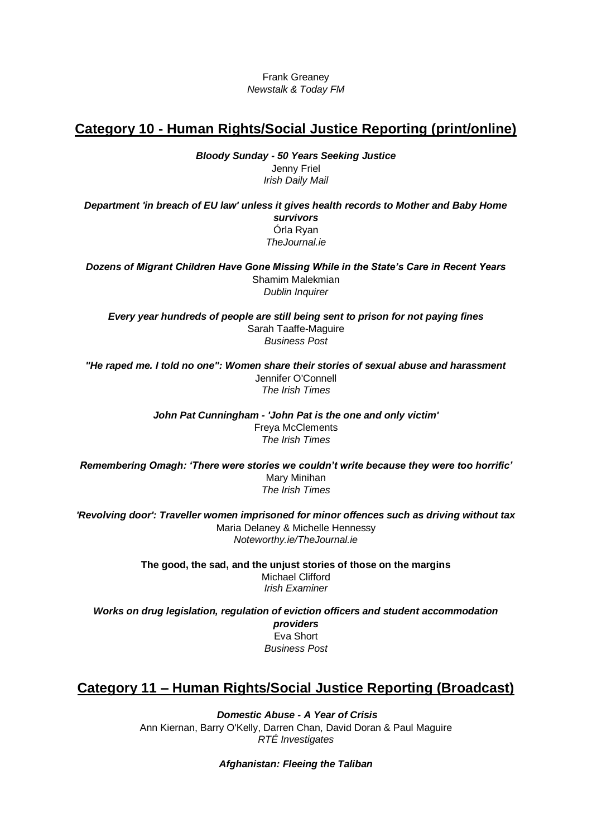Frank Greaney *Newstalk & Today FM*

### **Category 10 - Human Rights/Social Justice Reporting (print/online)**

*Bloody Sunday - 50 Years Seeking Justice*  Jenny Friel *Irish Daily Mail*

*Department 'in breach of EU law' unless it gives health records to Mother and Baby Home survivors* Órla Ryan *TheJournal.ie*

*Dozens of Migrant Children Have Gone Missing While in the State's Care in Recent Years* Shamim Malekmian *Dublin Inquirer*

*Every year hundreds of people are still being sent to prison for not paying fines* Sarah Taaffe-Maguire *Business Post*

*"He raped me. I told no one": Women share their stories of sexual abuse and harassment* Jennifer O'Connell *The Irish Times*

> *John Pat Cunningham - 'John Pat is the one and only victim'* Freya McClements *The Irish Times*

*Remembering Omagh: 'There were stories we couldn't write because they were too horrific'* Mary Minihan *The Irish Times*

*'Revolving door': Traveller women imprisoned for minor offences such as driving without tax* Maria Delaney & Michelle Hennessy *Noteworthy.ie/TheJournal.ie*

> **The good, the sad, and the unjust stories of those on the margins** Michael Clifford *Irish Examiner*

*Works on drug legislation, regulation of eviction officers and student accommodation providers* Eva Short *Business Post*

# **Category 11 – Human Rights/Social Justice Reporting (Broadcast)**

*Domestic Abuse - A Year of Crisis* Ann Kiernan, Barry O'Kelly, Darren Chan, David Doran & Paul Maguire *RTÉ Investigates*

*Afghanistan: Fleeing the Taliban*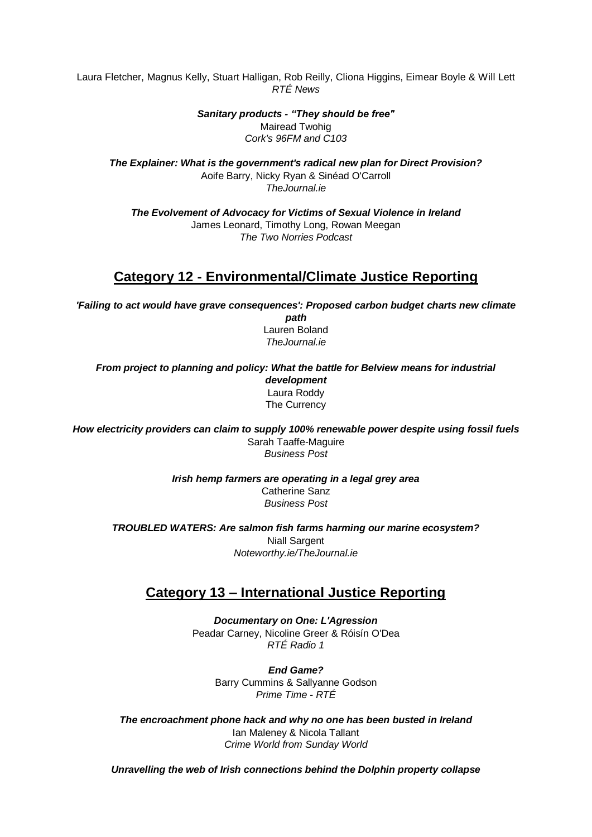Laura Fletcher, Magnus Kelly, Stuart Halligan, Rob Reilly, Cliona Higgins, Eimear Boyle & Will Lett *RTÉ News* 

> *Sanitary products - "They should be free"* Mairead Twohig *Cork's 96FM and C103*

*The Explainer: What is the government's radical new plan for Direct Provision?* Aoife Barry, Nicky Ryan & Sinéad O'Carroll *TheJournal.ie*

*The Evolvement of Advocacy for Victims of Sexual Violence in Ireland* James Leonard, Timothy Long, Rowan Meegan *The Two Norries Podcast*

# **Category 12 - Environmental/Climate Justice Reporting**

*'Failing to act would have grave consequences': Proposed carbon budget charts new climate path* Lauren Boland

*TheJournal.ie*

*From project to planning and policy: What the battle for Belview means for industrial development* Laura Roddy The Currency

*How electricity providers can claim to supply 100% renewable power despite using fossil fuels* Sarah Taaffe-Maguire *Business Post*

> *Irish hemp farmers are operating in a legal grey area* Catherine Sanz *Business Post*

*TROUBLED WATERS: Are salmon fish farms harming our marine ecosystem?* Niall Sargent *Noteworthy.ie/TheJournal.ie*

# **Category 13 – International Justice Reporting**

*Documentary on One: L'Agression* Peadar Carney, Nicoline Greer & Róisín O'Dea *RTÉ Radio 1*

> *End Game?* Barry Cummins & Sallyanne Godson *Prime Time - RTÉ*

*The encroachment phone hack and why no one has been busted in Ireland* Ian Maleney & Nicola Tallant *Crime World from Sunday World*

*Unravelling the web of Irish connections behind the Dolphin property collapse*